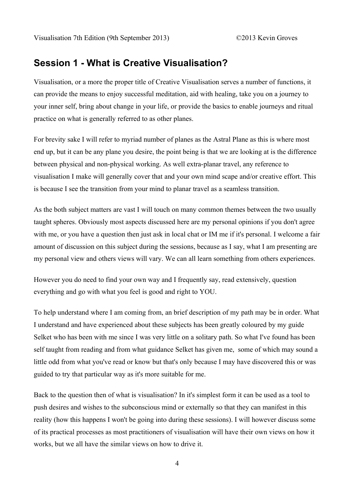### **Session 1 - What is Creative Visualisation?**

Visualisation, or a more the proper title of Creative Visualisation serves a number of functions, it can provide the means to enjoy successful meditation, aid with healing, take you on a journey to your inner self, bring about change in your life, or provide the basics to enable journeys and ritual practice on what is generally referred to as other planes.

For brevity sake I will refer to myriad number of planes as the Astral Plane as this is where most end up, but it can be any plane you desire, the point being is that we are looking at is the difference between physical and non-physical working. As well extra-planar travel, any reference to visualisation I make will generally cover that and your own mind scape and/or creative effort. This is because I see the transition from your mind to planar travel as a seamless transition.

As the both subject matters are vast I will touch on many common themes between the two usually taught spheres. Obviously most aspects discussed here are my personal opinions if you don't agree with me, or you have a question then just ask in local chat or IM me if it's personal. I welcome a fair amount of discussion on this subject during the sessions, because as I say, what I am presenting are my personal view and others views will vary. We can all learn something from others experiences.

However you do need to find your own way and I frequently say, read extensively, question everything and go with what you feel is good and right to YOU.

To help understand where I am coming from, an brief description of my path may be in order. What I understand and have experienced about these subjects has been greatly coloured by my guide Selket who has been with me since I was very little on a solitary path. So what I've found has been self taught from reading and from what guidance Selket has given me, some of which may sound a little odd from what you've read or know but that's only because I may have discovered this or was guided to try that particular way as it's more suitable for me.

Back to the question then of what is visualisation? In it's simplest form it can be used as a tool to push desires and wishes to the subconscious mind or externally so that they can manifest in this reality (how this happens I won't be going into during these sessions). I will however discuss some of its practical processes as most practitioners of visualisation will have their own views on how it works, but we all have the similar views on how to drive it.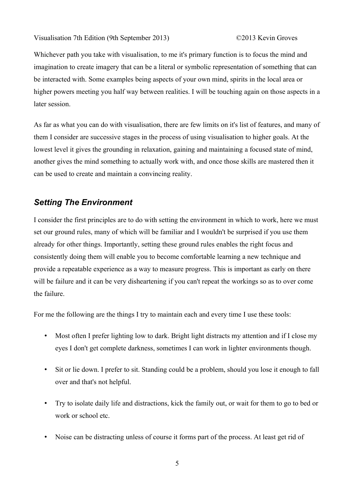Whichever path you take with visualisation, to me it's primary function is to focus the mind and imagination to create imagery that can be a literal or symbolic representation of something that can be interacted with. Some examples being aspects of your own mind, spirits in the local area or higher powers meeting you half way between realities. I will be touching again on those aspects in a later session.

As far as what you can do with visualisation, there are few limits on it's list of features, and many of them I consider are successive stages in the process of using visualisation to higher goals. At the lowest level it gives the grounding in relaxation, gaining and maintaining a focused state of mind, another gives the mind something to actually work with, and once those skills are mastered then it can be used to create and maintain a convincing reality.

#### *Setting The Environment*

I consider the first principles are to do with setting the environment in which to work, here we must set our ground rules, many of which will be familiar and I wouldn't be surprised if you use them already for other things. Importantly, setting these ground rules enables the right focus and consistently doing them will enable you to become comfortable learning a new technique and provide a repeatable experience as a way to measure progress. This is important as early on there will be failure and it can be very disheartening if you can't repeat the workings so as to over come the failure.

For me the following are the things I try to maintain each and every time I use these tools:

- Most often I prefer lighting low to dark. Bright light distracts my attention and if I close my eyes I don't get complete darkness, sometimes I can work in lighter environments though.
- Sit or lie down. I prefer to sit. Standing could be a problem, should you lose it enough to fall over and that's not helpful.
- Try to isolate daily life and distractions, kick the family out, or wait for them to go to bed or work or school etc.
- Noise can be distracting unless of course it forms part of the process. At least get rid of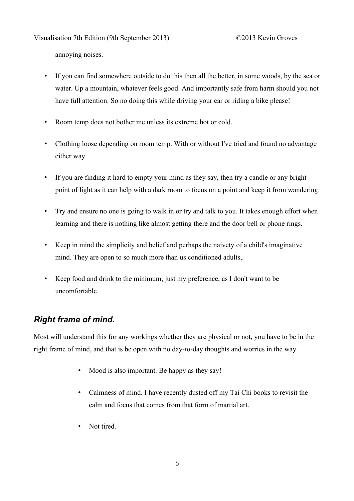Visualisation 7th Edition (9th September 2013) ©2013 Kevin Groves

annoying noises.

- If you can find somewhere outside to do this then all the better, in some woods, by the sea or water. Up a mountain, whatever feels good. And importantly safe from harm should you not have full attention. So no doing this while driving your car or riding a bike please!
- Room temp does not bother me unless its extreme hot or cold.
- Clothing loose depending on room temp. With or without I've tried and found no advantage either way.
- If you are finding it hard to empty your mind as they say, then try a candle or any bright point of light as it can help with a dark room to focus on a point and keep it from wandering.
- Try and ensure no one is going to walk in or try and talk to you. It takes enough effort when learning and there is nothing like almost getting there and the door bell or phone rings.
- Keep in mind the simplicity and belief and perhaps the naivety of a child's imaginative mind. They are open to so much more than us conditioned adults..
- Keep food and drink to the minimum, just my preference, as I don't want to be uncomfortable.

## *Right frame of mind.*

Most will understand this for any workings whether they are physical or not, you have to be in the right frame of mind, and that is be open with no day-to-day thoughts and worries in the way.

- Mood is also important. Be happy as they say!
- Calmness of mind. I have recently dusted off my Tai Chi books to revisit the calm and focus that comes from that form of martial art.
- Not tired.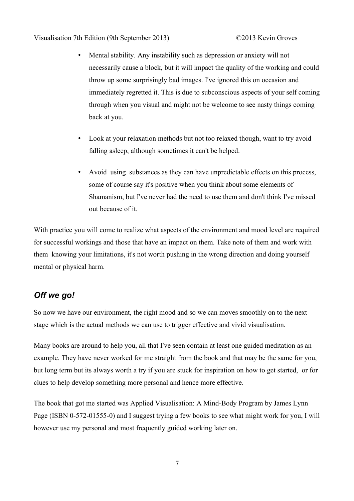- Mental stability. Any instability such as depression or anxiety will not necessarily cause a block, but it will impact the quality of the working and could throw up some surprisingly bad images. I've ignored this on occasion and immediately regretted it. This is due to subconscious aspects of your self coming through when you visual and might not be welcome to see nasty things coming back at you.
- Look at your relaxation methods but not too relaxed though, want to try avoid falling asleep, although sometimes it can't be helped.
- Avoid using substances as they can have unpredictable effects on this process, some of course say it's positive when you think about some elements of Shamanism, but I've never had the need to use them and don't think I've missed out because of it.

With practice you will come to realize what aspects of the environment and mood level are required for successful workings and those that have an impact on them. Take note of them and work with them knowing your limitations, it's not worth pushing in the wrong direction and doing yourself mental or physical harm.

# *Off we go!*

So now we have our environment, the right mood and so we can moves smoothly on to the next stage which is the actual methods we can use to trigger effective and vivid visualisation.

Many books are around to help you, all that I've seen contain at least one guided meditation as an example. They have never worked for me straight from the book and that may be the same for you, but long term but its always worth a try if you are stuck for inspiration on how to get started, or for clues to help develop something more personal and hence more effective.

The book that got me started was Applied Visualisation: A Mind-Body Program by James Lynn Page (ISBN 0-572-01555-0) and I suggest trying a few books to see what might work for you, I will however use my personal and most frequently guided working later on.

7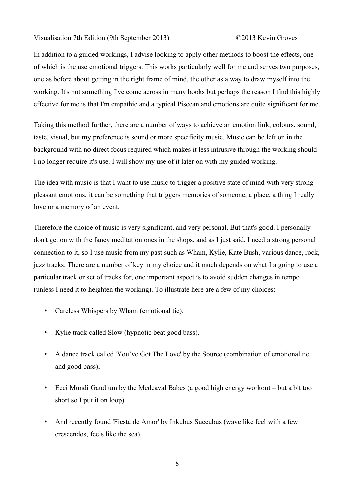#### Visualisation 7th Edition (9th September 2013) ©2013 Kevin Groves

In addition to a guided workings, I advise looking to apply other methods to boost the effects, one of which is the use emotional triggers. This works particularly well for me and serves two purposes, one as before about getting in the right frame of mind, the other as a way to draw myself into the working. It's not something I've come across in many books but perhaps the reason I find this highly effective for me is that I'm empathic and a typical Piscean and emotions are quite significant for me.

Taking this method further, there are a number of ways to achieve an emotion link, colours, sound, taste, visual, but my preference is sound or more specificity music. Music can be left on in the background with no direct focus required which makes it less intrusive through the working should I no longer require it's use. I will show my use of it later on with my guided working.

The idea with music is that I want to use music to trigger a positive state of mind with very strong pleasant emotions, it can be something that triggers memories of someone, a place, a thing I really love or a memory of an event.

Therefore the choice of music is very significant, and very personal. But that's good. I personally don't get on with the fancy meditation ones in the shops, and as I just said, I need a strong personal connection to it, so I use music from my past such as Wham, Kylie, Kate Bush, various dance, rock, jazz tracks. There are a number of key in my choice and it much depends on what I a going to use a particular track or set of tracks for, one important aspect is to avoid sudden changes in tempo (unless I need it to heighten the working). To illustrate here are a few of my choices:

- Careless Whispers by Wham (emotional tie).
- Kylie track called Slow (hypnotic beat good bass).
- A dance track called 'You've Got The Love' by the Source (combination of emotional tie and good bass),
- Ecci Mundi Gaudium by the Medeaval Babes (a good high energy workout but a bit too short so I put it on loop).
- And recently found 'Fiesta de Amor' by Inkubus Succubus (wave like feel with a few crescendos, feels like the sea).